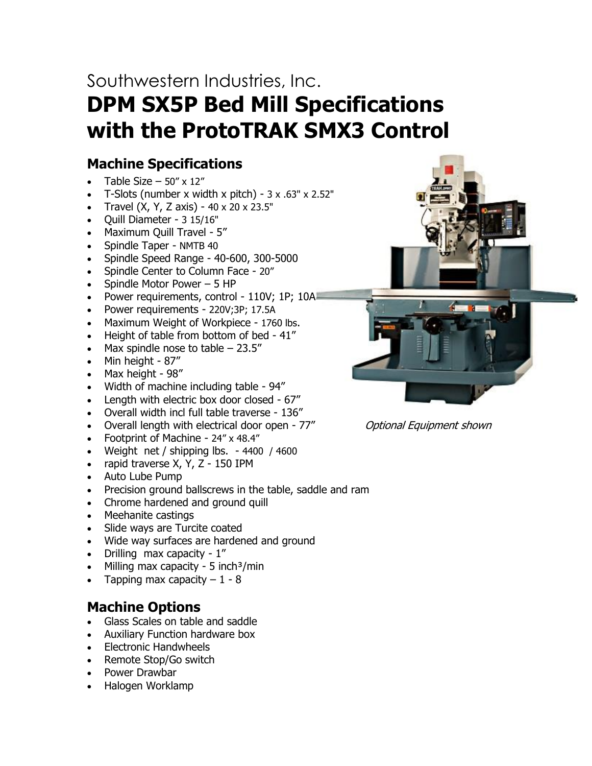# Southwestern Industries, Inc. **DPM SX5P Bed Mill Specifications with the ProtoTRAK SMX3 Control**

# **Machine Specifications**

- Table Size  $-$  50" x 12"
- T-Slots (number x width x pitch)  $3 \times .63$ " x 2.52"
- Travel (X, Y, Z axis) 40 x 20 x 23.5"
- Quill Diameter 3 15/16"
- Maximum Quill Travel 5"
- Spindle Taper NMTB 40
- Spindle Speed Range 40-600, 300-5000
- Spindle Center to Column Face 20"
- Spindle Motor Power 5 HP
- Power requirements, control 110V; 1P; 10A
- Power requirements 220V;3P; 17.5A
- Maximum Weight of Workpiece 1760 lbs.
- Height of table from bottom of bed 41"
- Max spindle nose to table  $-23.5$ "
- Min height 87"
- Max height 98"
- Width of machine including table 94"
- Length with electric box door closed 67"
- Overall width incl full table traverse 136"
- Overall length with electrical door open 77" Optional Equipment shown
- Footprint of Machine 24" x 48.4"
- Weight net / shipping lbs. 4400 / 4600
- rapid traverse X, Y, Z 150 IPM
- Auto Lube Pump
- Precision ground ballscrews in the table, saddle and ram
- Chrome hardened and ground quill
- Meehanite castings
- Slide ways are Turcite coated
- Wide way surfaces are hardened and ground
- Drilling max capacity 1"
- Milling max capacity 5 inch<sup>3</sup>/min
- Tapping max capacity  $-1 8$

# **Machine Options**

- Glass Scales on table and saddle
- Auxiliary Function hardware box
- Electronic Handwheels
- Remote Stop/Go switch
- Power Drawbar
- Halogen Worklamp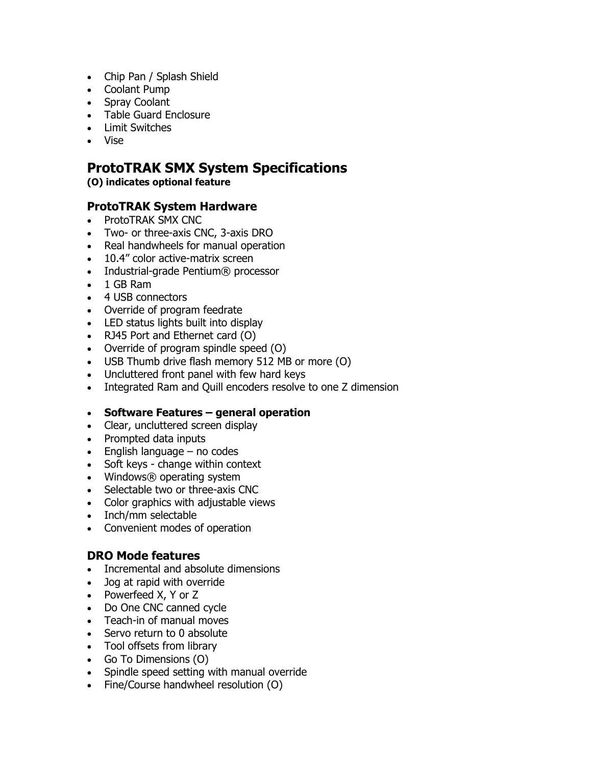- Chip Pan / Splash Shield
- Coolant Pump
- Spray Coolant
- Table Guard Enclosure
- Limit Switches
- Vise

# **ProtoTRAK SMX System Specifications**

**(O) indicates optional feature**

## **ProtoTRAK System Hardware**

- ProtoTRAK SMX CNC
- Two- or three-axis CNC, 3-axis DRO
- Real handwheels for manual operation
- 10.4" color active-matrix screen
- Industrial-grade Pentium® processor
- 1 GB Ram
- 4 USB connectors
- Override of program feedrate
- LED status lights built into display
- RJ45 Port and Ethernet card (O)
- Override of program spindle speed (O)
- USB Thumb drive flash memory 512 MB or more (O)
- Uncluttered front panel with few hard keys
- Integrated Ram and Quill encoders resolve to one Z dimension

#### • **Software Features – general operation**

- Clear, uncluttered screen display
- Prompted data inputs
- $\bullet$  English language no codes
- Soft keys change within context
- Windows® operating system
- Selectable two or three-axis CNC
- Color graphics with adjustable views
- Inch/mm selectable
- Convenient modes of operation

#### **DRO Mode features**

- Incremental and absolute dimensions
- Jog at rapid with override
- Powerfeed X, Y or Z
- Do One CNC canned cycle
- Teach-in of manual moves
- Servo return to 0 absolute
- Tool offsets from library
- Go To Dimensions (O)
- Spindle speed setting with manual override
- Fine/Course handwheel resolution (O)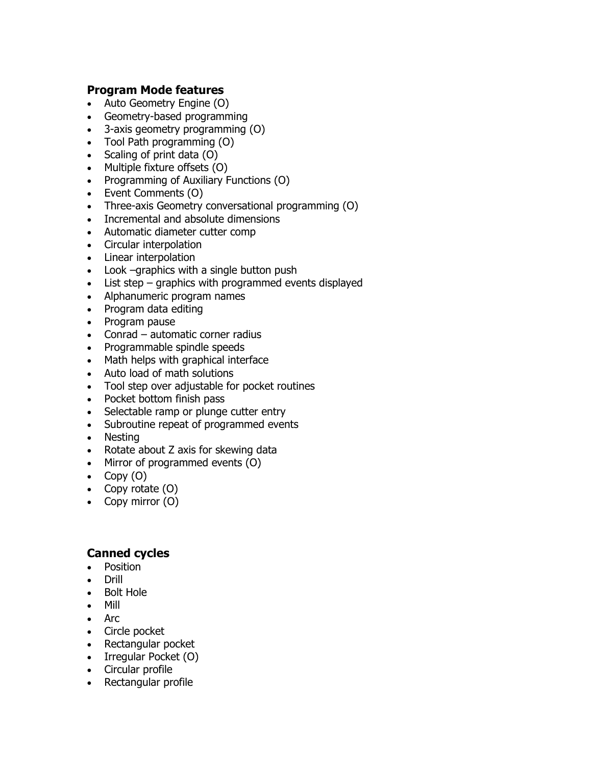## **Program Mode features**

- Auto Geometry Engine (O)
- Geometry-based programming
- 3-axis geometry programming (O)
- Tool Path programming (O)
- Scaling of print data (O)
- Multiple fixture offsets (O)
- Programming of Auxiliary Functions (O)
- Event Comments (O)
- Three-axis Geometry conversational programming (O)
- Incremental and absolute dimensions
- Automatic diameter cutter comp
- Circular interpolation
- Linear interpolation
- Look –graphics with a single button push
- List step graphics with programmed events displayed
- Alphanumeric program names
- Program data editing
- Program pause
- Conrad automatic corner radius
- Programmable spindle speeds
- Math helps with graphical interface
- Auto load of math solutions
- Tool step over adjustable for pocket routines
- Pocket bottom finish pass
- Selectable ramp or plunge cutter entry
- Subroutine repeat of programmed events
- Nesting
- Rotate about Z axis for skewing data
- Mirror of programmed events (O)
- Copy  $(0)$
- Copy rotate (O)
- Copy mirror (O)

#### **Canned cycles**

- Position
- Drill
- Bolt Hole
- Mill
- Arc
- Circle pocket
- Rectangular pocket
- Irregular Pocket (O)
- Circular profile
- Rectangular profile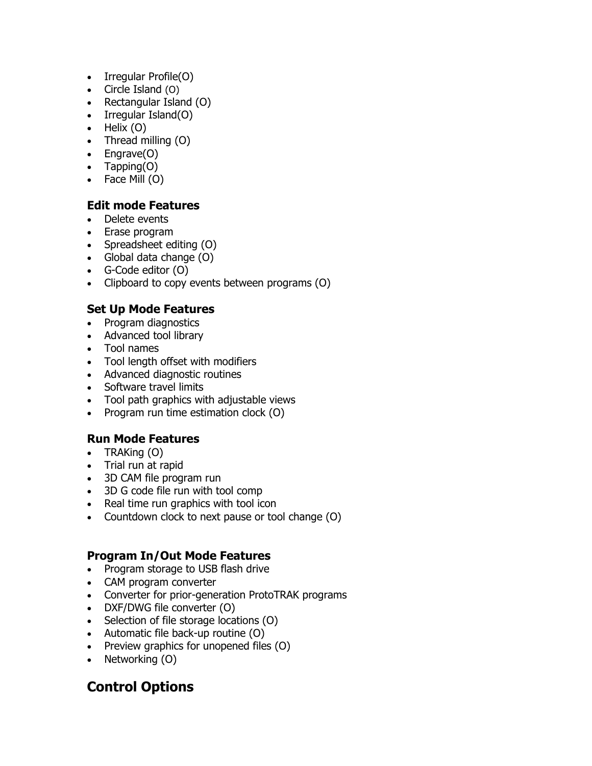- Irregular Profile(O)
- Circle Island (O)
- Rectangular Island (O)
- Irregular Island(O)
- $\bullet$  Helix (0)
- Thread milling (O)
- Engrave(O)
- Tapping(O)
- Face Mill (O)

## **Edit mode Features**

- Delete events
- Erase program
- Spreadsheet editing (O)
- Global data change (O)
- G-Code editor (O)
- Clipboard to copy events between programs (O)

## **Set Up Mode Features**

- Program diagnostics
- Advanced tool library
- Tool names
- Tool length offset with modifiers
- Advanced diagnostic routines
- Software travel limits
- Tool path graphics with adjustable views
- Program run time estimation clock (O)

# **Run Mode Features**

- TRAKing (O)
- Trial run at rapid
- 3D CAM file program run
- 3D G code file run with tool comp
- Real time run graphics with tool icon
- Countdown clock to next pause or tool change (O)

## **Program In/Out Mode Features**

- Program storage to USB flash drive
- CAM program converter
- Converter for prior-generation ProtoTRAK programs
- DXF/DWG file converter (O)
- Selection of file storage locations (O)
- Automatic file back-up routine (O)
- Preview graphics for unopened files (O)
- Networking (O)

# **Control Options**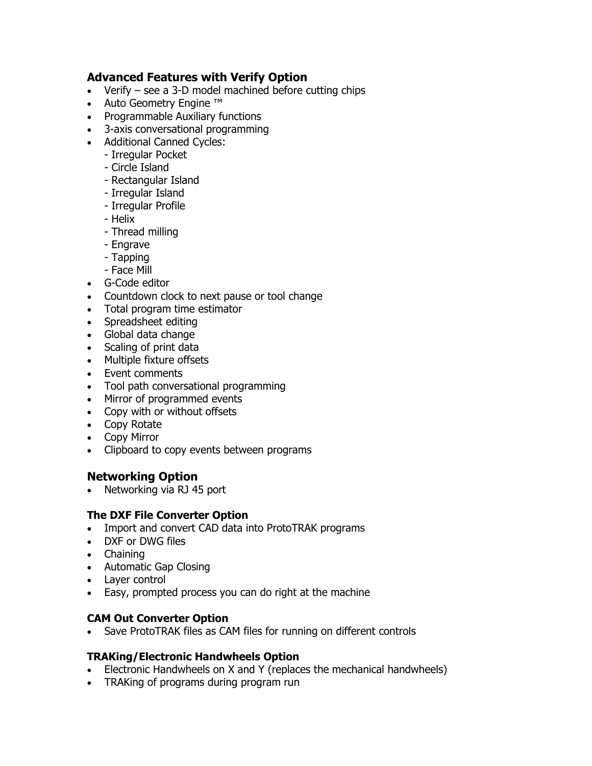## **Advanced Features with Verify Option**

- Verify see a 3-D model machined before cutting chips
- Auto Geometry Engine ™
- Programmable Auxiliary functions
- 3-axis conversational programming
- Additional Canned Cycles:
	- Irregular Pocket
	- Circle Island
	- Rectangular Island
	- Irregular Island
	- Irregular Profile
	- Helix
	- Thread milling
	- Engrave
	- Tapping
	- Face Mill
- G-Code editor
- Countdown clock to next pause or tool change
- Total program time estimator
- Spreadsheet editing
- Global data change
- Scaling of print data
- Multiple fixture offsets
- Event comments
- Tool path conversational programming
- Mirror of programmed events
- Copy with or without offsets
- Copy Rotate
- Copy Mirror
- Clipboard to copy events between programs

## **Networking Option**

• Networking via RJ 45 port

#### **The DXF File Converter Option**

- Import and convert CAD data into ProtoTRAK programs
- DXF or DWG files
- Chaining
- Automatic Gap Closing
- Layer control
- Easy, prompted process you can do right at the machine

#### **CAM Out Converter Option**

Save ProtoTRAK files as CAM files for running on different controls

#### **TRAKing/Electronic Handwheels Option**

- Electronic Handwheels on X and Y (replaces the mechanical handwheels)
- TRAKing of programs during program run